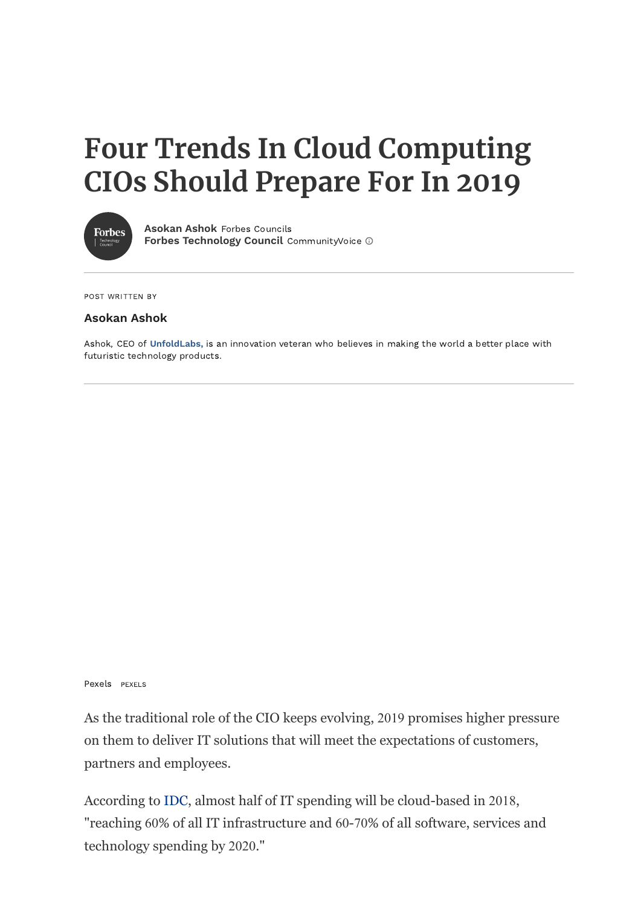# **Four Trends In Cloud Computing CIOs Should Prepare For In 2019**



**[Asokan Ashok](https://www.forbes.com/sites/forbestechcouncil/people/asokanshok/)** Forbes Councils **[Forbes Technology Council](http://www.forbes.com/sites/forbestechcouncil/)** CommunityVoice  $\odot$ 

POST WRITTEN BY

#### **Asokan Ashok**

Ashok, CEO of **[UnfoldLabs,](http://www.unfoldlabs.com/)** is an innovation veteran who believes in making the world a better place with futuristic technology products.

Pexels PEXELS

As the traditional role of the CIO keeps evolving, 2019 promises higher pressure on them to deliver IT solutions that will meet the expectations of customers, partners and employees.

According to [IDC,](https://www.idc.com/research/viewtoc.jsp?containerId=259850) almost half of IT spending will be cloud-based in 2018, "reaching 60% of all IT infrastructure and 60-70% of all software, services and technology spending by 2020."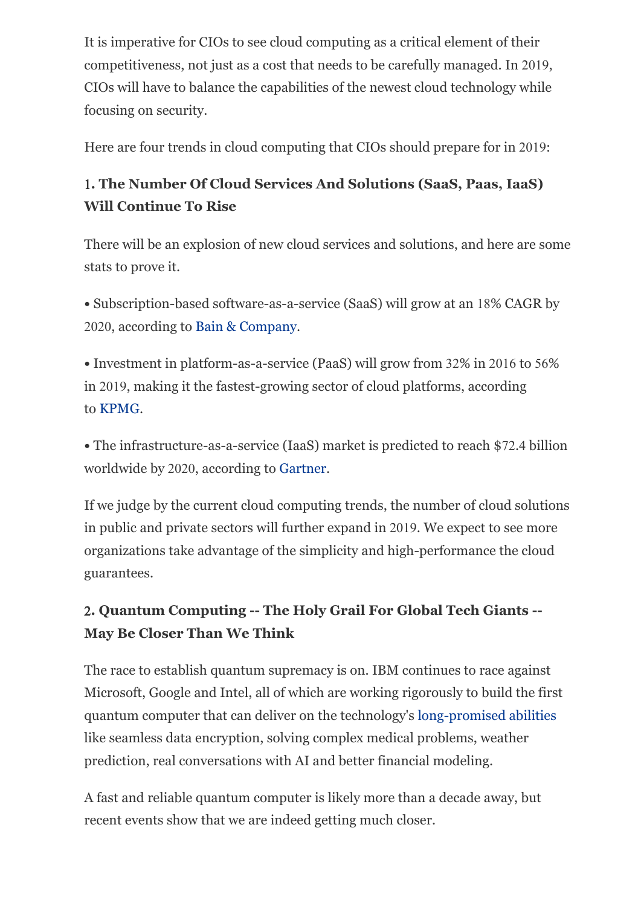It is imperative for CIOs to see cloud computing as a critical element of their competitiveness, not just as a cost that needs to be carefully managed. In 2019, CIOs will have to balance the capabilities of the newest cloud technology while focusing on security.

Here are four trends in cloud computing that CIOs should prepare for in 2019:

# 1**. The Number Of Cloud Services And Solutions (SaaS, Paas, IaaS) Will Continue To Rise**

There will be an explosion of new cloud services and solutions, and here are some stats to prove it.

**•** Subscription-based software-as-a-service (SaaS) will grow at an 18% CAGR by 2020, according to [Bain & Company.](http://www.bain.com/Images/BAIN_BRIEF_The_Changing_Faces_of_the_Cloud.pdf)

**•** Investment in platform-as-a-service (PaaS) will grow from 32% in 2016 to 56% in 2019, making it the fastest-growing sector of cloud platforms, according to [KPMG.](https://assets.kpmg.com/content/dam/kpmg/xx/pdf/2017/02/the-creative-cios-agenda-journey-to-cloud.PDF)

**•** The infrastructure-as-a-service (IaaS) market is predicted to reach \$72.4 billion worldwide by 2020, according to [Gartner](https://www.gartner.com/newsroom/id/3815165).

If we judge by the current cloud computing trends, the number of cloud solutions in public and private sectors will further expand in 2019. We expect to see more organizations take advantage of the simplicity and high-performance the cloud guarantees.

## 2**. Quantum Computing -- The Holy Grail For Global Tech Giants -- May Be Closer Than We Think**

The race to establish quantum supremacy is on. IBM continues to race against Microsoft, Google and Intel, all of which are working rigorously to build the first quantum computer that can deliver on the technology's [long-promised abilities](https://www.scientificamerican.com/article/how-close-are-we-really-to-building-a-quantum-computer/) like seamless data encryption, solving complex medical problems, weather prediction, real conversations with AI and better financial modeling.

A fast and reliable quantum computer is likely more than a decade away, but recent events show that we are indeed getting much closer.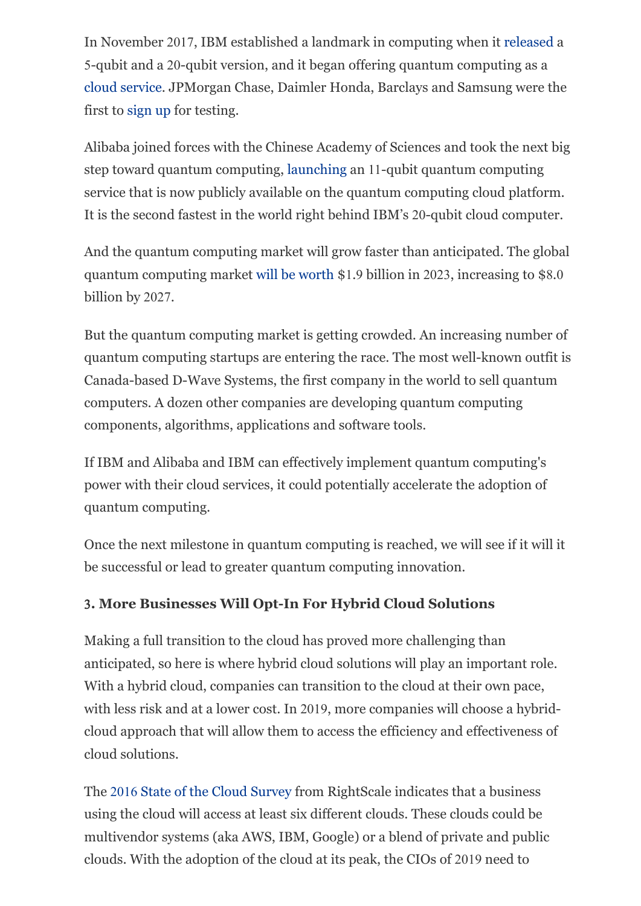In November 2017, IBM established a landmark in computing when it [released](https://www-03.ibm.com/press/us/en/pressrelease/53374.wss) a 5-qubit and a 20-qubit version, and it began offering quantum computing as a [cloud service](https://developer.ibm.com/dwblog/2017/quantum-computing-16-qubit-processor/). JPMorgan Chase, Daimler Honda, Barclays and Samsung were the first to [sign up](https://www.wired.com/story/why-jp-morgan-daimler-are-testing-computers-that-arent-useful-yet/) for testing.

Alibaba joined forces with the Chinese Academy of Sciences and took the next big step toward quantum computing, [launching](https://www.techrepublic.com/article/alibaba-puts-quantum-computing-in-the-public-cloud-follows-intel-and-ibms-lead/) an 11-qubit quantum computing service that is now publicly available on the quantum computing cloud platform. It is the second fastest in the world right behind IBM's 20-qubit cloud computer.

And the quantum computing market will grow faster than anticipated. The global quantum computing market [will be worth](https://cir-inc.com/news/quantum-computer-market-reach-us1-9-billion-2023-says-new-cir-report/) \$1.9 billion in 2023, increasing to \$8.0 billion by 2027.

But the quantum computing market is getting crowded. An increasing number of quantum computing startups are entering the race. The most well-known outfit is Canada-based D-Wave Systems, the first company in the world to sell quantum computers. A dozen other companies are developing quantum computing components, algorithms, applications and software tools.

If IBM and Alibaba and IBM can effectively implement quantum computing's power with their cloud services, it could potentially accelerate the adoption of quantum computing.

Once the next milestone in quantum computing is reached, we will see if it will it be successful or lead to greater quantum computing innovation.

### 3**. More Businesses Will Opt-In For Hybrid Cloud Solutions**

Making a full transition to the cloud has proved more challenging than anticipated, so here is where hybrid cloud solutions will play an important role. With a hybrid cloud, companies can transition to the cloud at their own pace, with less risk and at a lower cost. In 2019, more companies will choose a hybridcloud approach that will allow them to access the efficiency and effectiveness of cloud solutions.

The 2016 [State of the Cloud Survey](https://www.rightscale.com/blog/cloud-industry-insights/cloud-computing-trends-2016-state-cloud-survey) from RightScale indicates that a business using the cloud will access at least six different clouds. These clouds could be multivendor systems (aka AWS, IBM, Google) or a blend of private and public clouds. With the adoption of the cloud at its peak, the CIOs of 2019 need to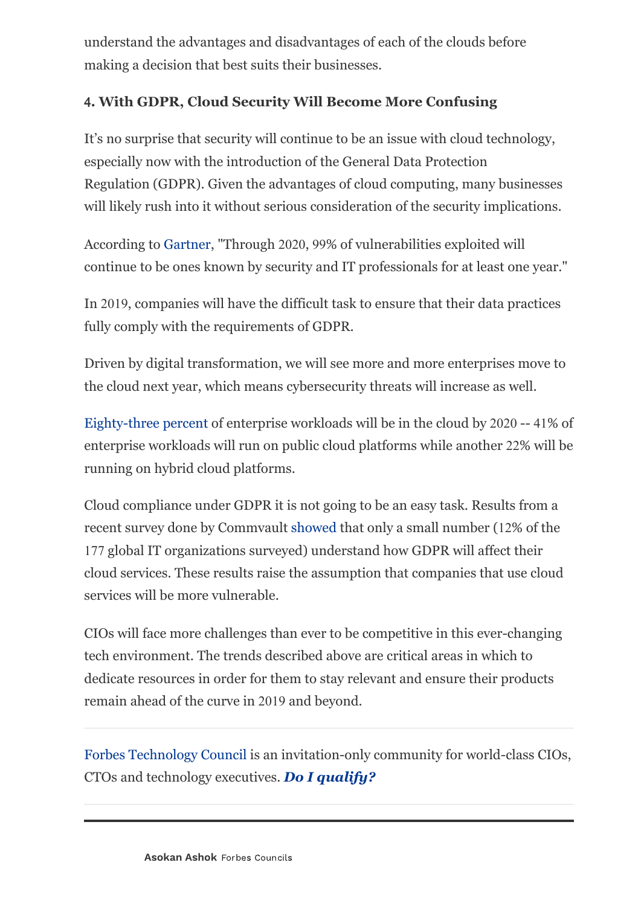understand the advantages and disadvantages of each of the clouds before making a decision that best suits their businesses.

#### 4**. With GDPR, Cloud Security Will Become More Confusing**

It's no surprise that security will continue to be an issue with cloud technology, especially now with the introduction of the General Data Protection Regulation (GDPR). Given the advantages of cloud computing, many businesses will likely rush into it without serious consideration of the security implications.

According to [Gartner,](https://www.gartner.com/smarterwithgartner/top-10-security-predictions-2016/) "Through 2020, 99% of vulnerabilities exploited will continue to be ones known by security and IT professionals for at least one year."

In 2019, companies will have the difficult task to ensure that their data practices fully comply with the requirements of GDPR.

Driven by digital transformation, we will see more and more enterprises move to the cloud next year, which means cybersecurity threats will increase as well.

[Eighty-three percent](https://www.forbes.com/sites/louiscolumbus/2018/01/07/83-of-enterprise-workloads-will-be-in-the-cloud-by-2020/#227762e16261) of enterprise workloads will be in the cloud by 2020 -- 41% of enterprise workloads will run on public cloud platforms while another 22% will be running on hybrid cloud platforms.

Cloud compliance under GDPR it is not going to be an easy task. Results from a recent survey done by Commvault [showed](http://www.businesscomputingworld.co.uk/news-post/global-survey-shows-that-89-of-organisations-are-still-confused-by-gdpr/) that only a small number (12% of the 177 global IT organizations surveyed) understand how GDPR will affect their cloud services. These results raise the assumption that companies that use cloud services will be more vulnerable.

CIOs will face more challenges than ever to be competitive in this ever-changing tech environment. The trends described above are critical areas in which to dedicate resources in order for them to stay relevant and ensure their products remain ahead of the curve in 2019 and beyond.

[Forbes Technology Council](http://www.forbestechcouncil.com/qualify/?source=forbes-text) is an invitation-only community for world-class CIOs, CTOs and technology executives. *[Do I qualify?](http://www.forbestechcouncil.com/qualify/?source=forbes-text)*